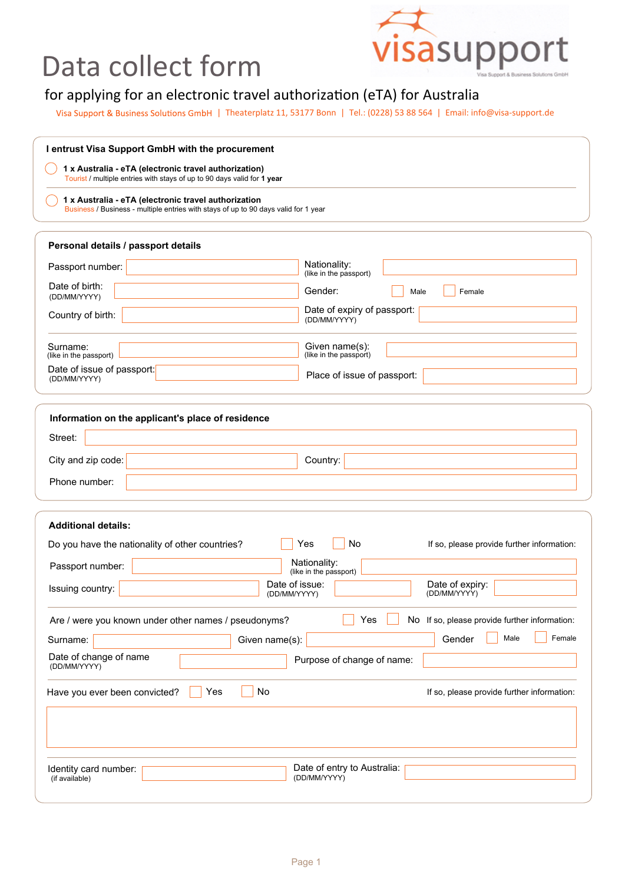## Data collect form



## for applying for an electronic travel authorization (eTA) for Australia

Visa Support & Business Solutions GmbH | Theaterplatz 11, 53177 Bonn | Tel.: (0228) 53 88 564 | Email: info@visa-support.de

| I entrust Visa Support GmbH with the procurement<br>1 x Australia - eTA (electronic travel authorization)<br>Tourist / multiple entries with stays of up to 90 days valid for 1 year<br>1 x Australia - eTA (electronic travel authorization<br>Business / Business - multiple entries with stays of up to 90 days valid for 1 year |                                                                                  |                                     |                                        |
|-------------------------------------------------------------------------------------------------------------------------------------------------------------------------------------------------------------------------------------------------------------------------------------------------------------------------------------|----------------------------------------------------------------------------------|-------------------------------------|----------------------------------------|
|                                                                                                                                                                                                                                                                                                                                     |                                                                                  | Personal details / passport details |                                        |
|                                                                                                                                                                                                                                                                                                                                     |                                                                                  | Passport number:                    | Nationality:<br>(like in the passport) |
| Date of birth:<br>(DD/MM/YYYY)                                                                                                                                                                                                                                                                                                      | Gender:<br>Female<br>Male                                                        |                                     |                                        |
| Country of birth:                                                                                                                                                                                                                                                                                                                   | Date of expiry of passport:<br>(DD/MM/YYYY)                                      |                                     |                                        |
| Surname:<br>(like in the passport)                                                                                                                                                                                                                                                                                                  | Given name(s):<br>(like in the passport)                                         |                                     |                                        |
| Date of issue of passport:<br>(DD/MM/YYYY)                                                                                                                                                                                                                                                                                          | Place of issue of passport:                                                      |                                     |                                        |
| Information on the applicant's place of residence<br>Street:<br>City and zip code:<br>Phone number:                                                                                                                                                                                                                                 | Country:                                                                         |                                     |                                        |
| <b>Additional details:</b><br>No<br>Do you have the nationality of other countries?<br>Yes<br>If so, please provide further information:<br>Nationality:<br>Passport number:<br>(like in the passport)<br>Date of expiry:<br>Date of issue:<br>Issuing country:<br>(DD/MM/YYYY)                                                     |                                                                                  |                                     |                                        |
| (DD/MM/YYYY)                                                                                                                                                                                                                                                                                                                        |                                                                                  |                                     |                                        |
| Are / were you known under other names / pseudonyms?<br>Given name(s):<br>Surname:                                                                                                                                                                                                                                                  | Yes<br>No If so, please provide further information:<br>Male<br>Female<br>Gender |                                     |                                        |
| Date of change of name<br>(DD/MM/YYYY)                                                                                                                                                                                                                                                                                              | Purpose of change of name:                                                       |                                     |                                        |
| No<br>Yes<br>Have you ever been convicted?                                                                                                                                                                                                                                                                                          | If so, please provide further information:                                       |                                     |                                        |
|                                                                                                                                                                                                                                                                                                                                     |                                                                                  |                                     |                                        |
| Identity card number:<br>(if available)                                                                                                                                                                                                                                                                                             | Date of entry to Australia:<br>(DD/MM/YYYY)                                      |                                     |                                        |